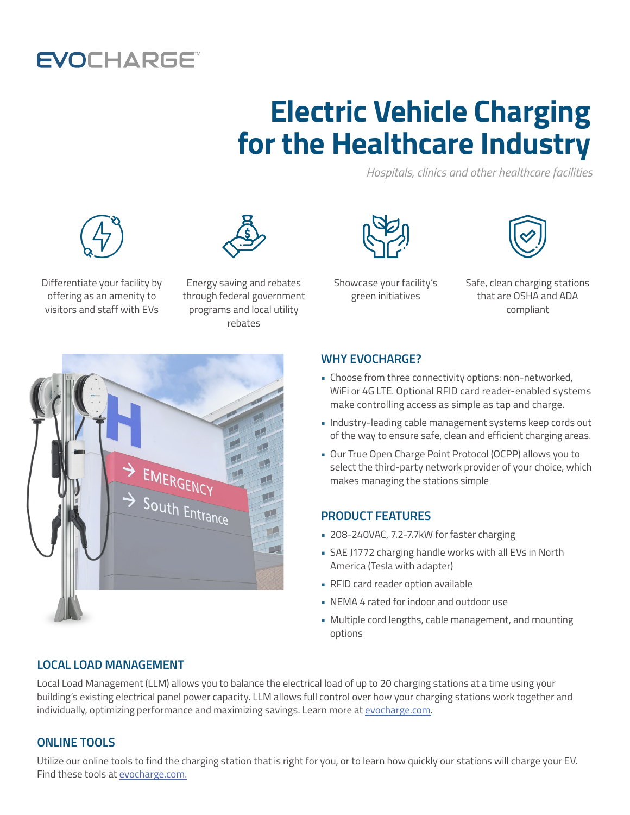# **EVOCHARGE**

# **Electric Vehicle Charging for the Healthcare Industry**

*Hospitals, clinics and other healthcare facilities*





Differentiate your facility by offering as an amenity to visitors and staff with EVs

Energy saving and rebates through federal government programs and local utility rebates



Showcase your facility's green initiatives



Safe, clean charging stations that are OSHA and ADA compliant



#### **WHY EVOCHARGE?**

- Choose from three connectivity options: non-networked, WiFi or 4G LTE. Optional RFID card reader-enabled systems make controlling access as simple as tap and charge.
- Industry-leading cable management systems keep cords out of the way to ensure safe, clean and efficient charging areas.
- Our True Open Charge Point Protocol (OCPP) allows you to select the third-party network provider of your choice, which makes managing the stations simple

## **PRODUCT FEATURES**

- 208-240VAC, 7.2-7.7kW for faster charging
- SAE J1772 charging handle works with all EVs in North America (Tesla with adapter)
- RFID card reader option available
- NEMA 4 rated for indoor and outdoor use
- Multiple cord lengths, cable management, and mounting options

## **LOCAL LOAD MANAGEMENT**

Local Load Management (LLM) allows you to balance the electrical load of up to 20 charging stations at a time using your building's existing electrical panel power capacity. LLM allows full control over how your charging stations work together and individually, optimizing performance and maximizing savings. Learn more at [evocharge.com.](https://evocharge.com/resources/how-electric-vehicle-charging-load-management-works/)

## **ONLINE TOOLS**

Utilize our online tools to find the charging station that is right for you, or to learn how quickly our stations will charge your EV. Find these tools at [evocharge.com.](http://evocharge.com)